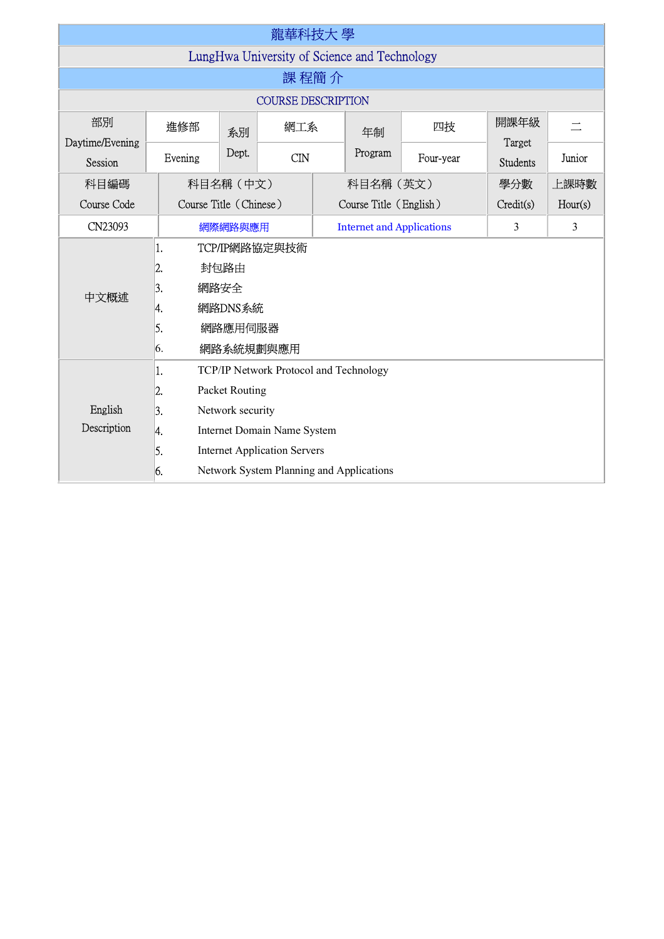| 龍華科技大 學                                      |                                                                                                                    |                                                                                                                                                                                                |     |                                  |                        |           |                 |         |  |  |  |  |
|----------------------------------------------|--------------------------------------------------------------------------------------------------------------------|------------------------------------------------------------------------------------------------------------------------------------------------------------------------------------------------|-----|----------------------------------|------------------------|-----------|-----------------|---------|--|--|--|--|
| LungHwa University of Science and Technology |                                                                                                                    |                                                                                                                                                                                                |     |                                  |                        |           |                 |         |  |  |  |  |
| 課 程簡 介                                       |                                                                                                                    |                                                                                                                                                                                                |     |                                  |                        |           |                 |         |  |  |  |  |
| <b>COURSE DESCRIPTION</b>                    |                                                                                                                    |                                                                                                                                                                                                |     |                                  |                        |           |                 |         |  |  |  |  |
| 部別<br>Daytime/Evening                        | 進修部                                                                                                                | 網工系<br>系別                                                                                                                                                                                      |     |                                  | 年制                     | 四技        | 開課年級<br>Target  |         |  |  |  |  |
| <b>Session</b>                               | Evening                                                                                                            | Dept.                                                                                                                                                                                          | CDN |                                  | Program                | Four-year | <b>Students</b> | Junior  |  |  |  |  |
| 科目編碼                                         |                                                                                                                    | 科目名稱 (中文)                                                                                                                                                                                      |     | 科目名稱 (英文)                        |                        | 學分數       | 上課時數            |         |  |  |  |  |
| Course Code                                  |                                                                                                                    | Course Title (Chinese)                                                                                                                                                                         |     |                                  | Course Title (English) |           | Credit(s)       | Hour(s) |  |  |  |  |
| CN23093                                      |                                                                                                                    | 網際網路與應用                                                                                                                                                                                        |     | <b>Internet and Applications</b> |                        | 3         | 3               |         |  |  |  |  |
| 中文概述                                         | TCP/IP網路協定與技術<br>1.<br>封包路由<br>$\overline{2}$ .<br>網路安全<br>3.<br>網路DNS系統<br>4.<br>5.<br>網路應用伺服器<br>網路系統規劃與應用<br>6. |                                                                                                                                                                                                |     |                                  |                        |           |                 |         |  |  |  |  |
| English<br>Description                       | 1.<br>2.<br>3.<br>4.<br>5.<br>6.                                                                                   | TCP/IP Network Protocol and Technology<br>Packet Routing<br>Network security<br>Internet Domain Name System<br><b>Internet Application Servers</b><br>Network System Planning and Applications |     |                                  |                        |           |                 |         |  |  |  |  |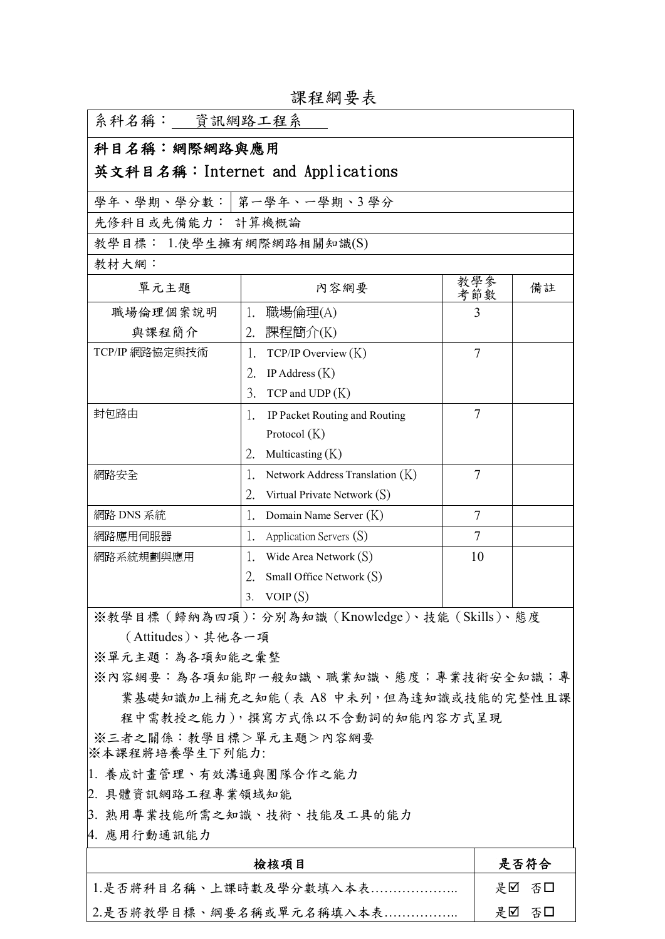| 系科名稱:___資訊網路工程系                          |                                                 |                |    |
|------------------------------------------|-------------------------------------------------|----------------|----|
| 科目名稱:網際網路與應用                             |                                                 |                |    |
|                                          | 英文科目名稱:Internet and Applications                |                |    |
|                                          | 學年、學期、學分數:   第一學年、一學期、3 學分                      |                |    |
| 先修科目或先備能力: 計算機概論                         |                                                 |                |    |
| 教學目標: 1.使學生擁有網際網路相關知識(S)                 |                                                 |                |    |
| 教材大網:                                    |                                                 |                |    |
| 單元主題                                     | 內容網要                                            | 教學參<br>考節數     | 備註 |
| 職場倫理個案說明                                 | 1. 職場倫理(A)                                      | 3              |    |
| 與課程簡介                                    | 2. 課程簡介(K)                                      |                |    |
| TCP/IP 網路協定與技術                           | TCP/IP Overview(K)<br>1.                        | $\overline{7}$ |    |
|                                          | 2.<br>IP Address $(K)$                          |                |    |
|                                          | 3.<br>$TCP$ and $UDP(K)$                        |                |    |
| 封包路由                                     | IP Packet Routing and Routing<br>1.             | 7              |    |
|                                          | Protocol $(K)$                                  |                |    |
|                                          | 2.<br>Multicasting $(K)$                        |                |    |
| 網路安全                                     | Network Address Translation (K)<br>Ι.           | 7              |    |
|                                          | 2.<br>Virtual Private Network $(S)$             |                |    |
| 網路 DNS 系統                                | Domain Name Server $(K)$<br>1.                  | 7              |    |
| 網路應用伺服器                                  | 1.<br>Application Servers (S)                   | 7              |    |
| 網路系統規劃與應用                                | 1.<br>Wide Area Network $(S)$                   | 10             |    |
|                                          | Small Office Network $(S)$<br>2.                |                |    |
|                                          | VOIP(S)<br>3.                                   |                |    |
|                                          | ※教學目標 (歸納為四項): 分別為知識 (Knowledge)、技能 (Skills)、態度 |                |    |
| (Attitudes)、其他各一項                        |                                                 |                |    |
| ※單元主題:為各項知能之彙整                           |                                                 |                |    |
|                                          | ※內容網要:為各項知能即一般知識、職業知識、態度;專業技術安全知識;專             |                |    |
|                                          | 業基礎知識加上補充之知能 (表 A8 中未列, 但為達知識或技能的完整性且課          |                |    |
|                                          | 程中需教授之能力),撰寫方式係以不含動詞的知能內容方式呈現                   |                |    |
| ※三者之關係:教學目標>單元主題>內容網要<br> ※本課程將培養學生下列能力: |                                                 |                |    |
| 1. 養成計畫管理、有效溝通與團隊合作之能力                   |                                                 |                |    |
| 2. 具體資訊網路工程專業領域知能                        |                                                 |                |    |
|                                          | 3. 熟用專業技能所需之知識、技術、技能及工具的能力                      |                |    |
| 4. 應用行動通訊能力                              |                                                 |                |    |
|                                          |                                                 | 是否符合           |    |
| 1.是否將科目名稱、上課時數及學分數填入本表                   |                                                 | 是口<br>否口       |    |
| 2.是否將教學目標、綱要名稱或單元名稱填入本表                  |                                                 | 是☑ 否□          |    |

課程綱要表